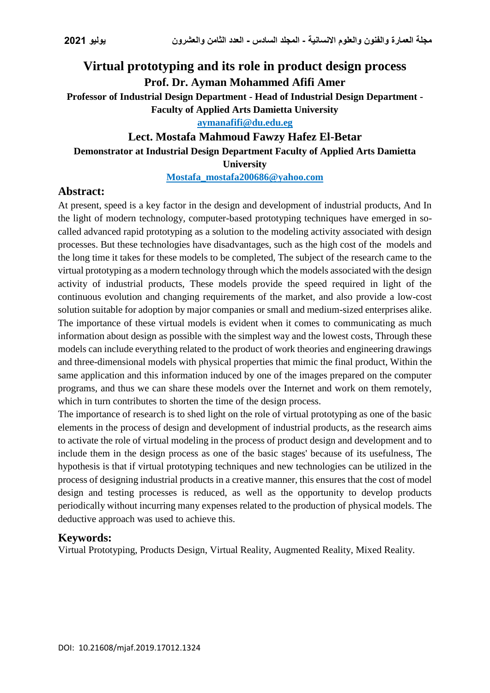# **Virtual prototyping and its role in product design process Prof. Dr. Ayman Mohammed Afifi Amer Professor of Industrial Design Department - Head of Industrial Design Department -**

**Faculty of Applied Arts Damietta University**

**[aymanafifi@du.edu.eg](mailto:aymanafifi@du.edu.eg)**

## **Lect. Mostafa Mahmoud Fawzy Hafez El-Betar Demonstrator at Industrial Design Department Faculty of Applied Arts Damietta University**

**[Mostafa\\_mostafa200686@yahoo.com](mailto:Mostafa_mostafa200686@yahoo.com)**

## **Abstract:**

At present, speed is a key factor in the design and development of industrial products, And In the light of modern technology, computer-based prototyping techniques have emerged in socalled advanced rapid prototyping as a solution to the modeling activity associated with design processes. But these technologies have disadvantages, such as the high cost of the models and the long time it takes for these models to be completed, The subject of the research came to the virtual prototyping as a modern technology through which the models associated with the design activity of industrial products, These models provide the speed required in light of the continuous evolution and changing requirements of the market, and also provide a low-cost solution suitable for adoption by major companies or small and medium-sized enterprises alike. The importance of these virtual models is evident when it comes to communicating as much information about design as possible with the simplest way and the lowest costs, Through these models can include everything related to the product of work theories and engineering drawings and three-dimensional models with physical properties that mimic the final product, Within the same application and this information induced by one of the images prepared on the computer programs, and thus we can share these models over the Internet and work on them remotely, which in turn contributes to shorten the time of the design process.

The importance of research is to shed light on the role of virtual prototyping as one of the basic elements in the process of design and development of industrial products, as the research aims to activate the role of virtual modeling in the process of product design and development and to include them in the design process as one of the basic stages' because of its usefulness, The hypothesis is that if virtual prototyping techniques and new technologies can be utilized in the process of designing industrial products in a creative manner, this ensures that the cost of model design and testing processes is reduced, as well as the opportunity to develop products periodically without incurring many expenses related to the production of physical models. The deductive approach was used to achieve this.

### **Keywords:**

Virtual Prototyping, Products Design, Virtual Reality, Augmented Reality, Mixed Reality.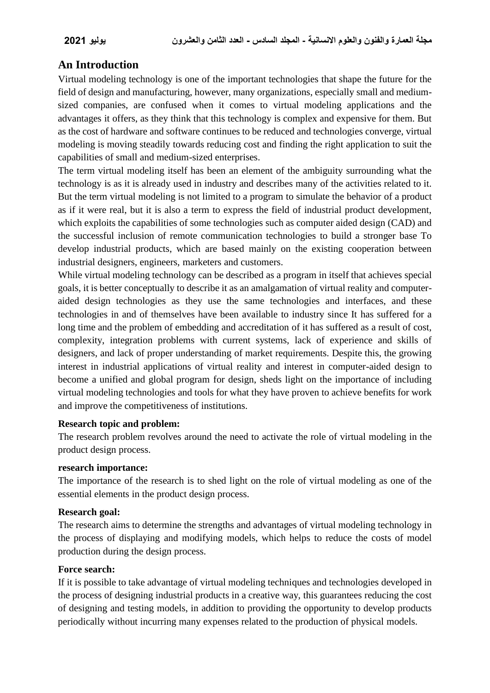## **An Introduction**

Virtual modeling technology is one of the important technologies that shape the future for the field of design and manufacturing, however, many organizations, especially small and mediumsized companies, are confused when it comes to virtual modeling applications and the advantages it offers, as they think that this technology is complex and expensive for them. But as the cost of hardware and software continues to be reduced and technologies converge, virtual modeling is moving steadily towards reducing cost and finding the right application to suit the capabilities of small and medium-sized enterprises.

The term virtual modeling itself has been an element of the ambiguity surrounding what the technology is as it is already used in industry and describes many of the activities related to it. But the term virtual modeling is not limited to a program to simulate the behavior of a product as if it were real, but it is also a term to express the field of industrial product development, which exploits the capabilities of some technologies such as computer aided design (CAD) and the successful inclusion of remote communication technologies to build a stronger base To develop industrial products, which are based mainly on the existing cooperation between industrial designers, engineers, marketers and customers.

While virtual modeling technology can be described as a program in itself that achieves special goals, it is better conceptually to describe it as an amalgamation of virtual reality and computeraided design technologies as they use the same technologies and interfaces, and these technologies in and of themselves have been available to industry since It has suffered for a long time and the problem of embedding and accreditation of it has suffered as a result of cost, complexity, integration problems with current systems, lack of experience and skills of designers, and lack of proper understanding of market requirements. Despite this, the growing interest in industrial applications of virtual reality and interest in computer-aided design to become a unified and global program for design, sheds light on the importance of including virtual modeling technologies and tools for what they have proven to achieve benefits for work and improve the competitiveness of institutions.

#### **Research topic and problem:**

The research problem revolves around the need to activate the role of virtual modeling in the product design process.

#### **research importance:**

The importance of the research is to shed light on the role of virtual modeling as one of the essential elements in the product design process.

#### **Research goal:**

The research aims to determine the strengths and advantages of virtual modeling technology in the process of displaying and modifying models, which helps to reduce the costs of model production during the design process.

#### **Force search:**

If it is possible to take advantage of virtual modeling techniques and technologies developed in the process of designing industrial products in a creative way, this guarantees reducing the cost of designing and testing models, in addition to providing the opportunity to develop products periodically without incurring many expenses related to the production of physical models.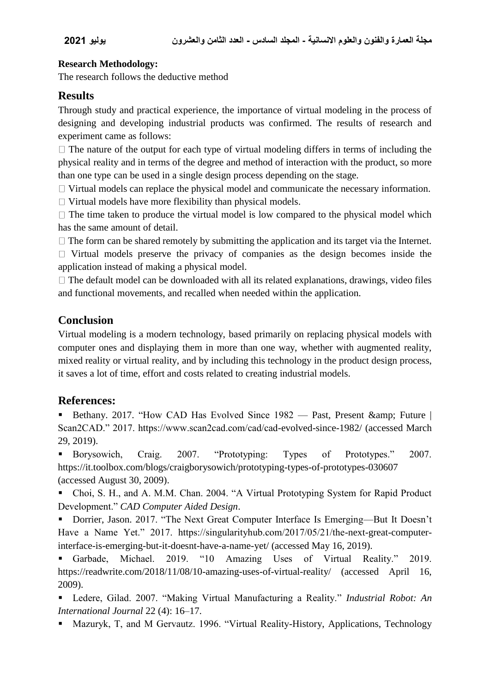#### **Research Methodology:**

The research follows the deductive method

## **Results**

Through study and practical experience, the importance of virtual modeling in the process of designing and developing industrial products was confirmed. The results of research and experiment came as follows:

 $\Box$  The nature of the output for each type of virtual modeling differs in terms of including the physical reality and in terms of the degree and method of interaction with the product, so more than one type can be used in a single design process depending on the stage.

 $\Box$  Virtual models can replace the physical model and communicate the necessary information.

 $\Box$  Virtual models have more flexibility than physical models.

 $\Box$  The time taken to produce the virtual model is low compared to the physical model which has the same amount of detail.

 $\Box$  The form can be shared remotely by submitting the application and its target via the Internet.

 $\Box$  Virtual models preserve the privacy of companies as the design becomes inside the application instead of making a physical model.

 $\Box$  The default model can be downloaded with all its related explanations, drawings, video files and functional movements, and recalled when needed within the application.

## **Conclusion**

Virtual modeling is a modern technology, based primarily on replacing physical models with computer ones and displaying them in more than one way, whether with augmented reality, mixed reality or virtual reality, and by including this technology in the product design process, it saves a lot of time, effort and costs related to creating industrial models.

## **References:**

Bethany. 2017. "How CAD Has Evolved Since  $1982$  — Past, Present & amp; Future | Scan2CAD." 2017. https://www.scan2cad.com/cad/cad-evolved-since-1982/ (accessed March 29, 2019).

 Borysowich, Craig. 2007. "Prototyping: Types of Prototypes." 2007. https://it.toolbox.com/blogs/craigborysowich/prototyping-types-of-prototypes-030607 (accessed August 30, 2009).

 Choi, S. H., and A. M.M. Chan. 2004. "A Virtual Prototyping System for Rapid Product Development." *CAD Computer Aided Design*.

■ Dorrier, Jason. 2017. "The Next Great Computer Interface Is Emerging—But It Doesn't Have a Name Yet." 2017. https://singularityhub.com/2017/05/21/the-next-great-computerinterface-is-emerging-but-it-doesnt-have-a-name-yet/ (accessed May 16, 2019).

 Garbade, Michael. 2019. "10 Amazing Uses of Virtual Reality." 2019. https://readwrite.com/2018/11/08/10-amazing-uses-of-virtual-reality/ (accessed April 16, 2009).

 Ledere, Gilad. 2007. "Making Virtual Manufacturing a Reality." *Industrial Robot: An International Journal* 22 (4): 16–17.

Mazuryk, T, and M Gervautz. 1996. "Virtual Reality-History, Applications, Technology